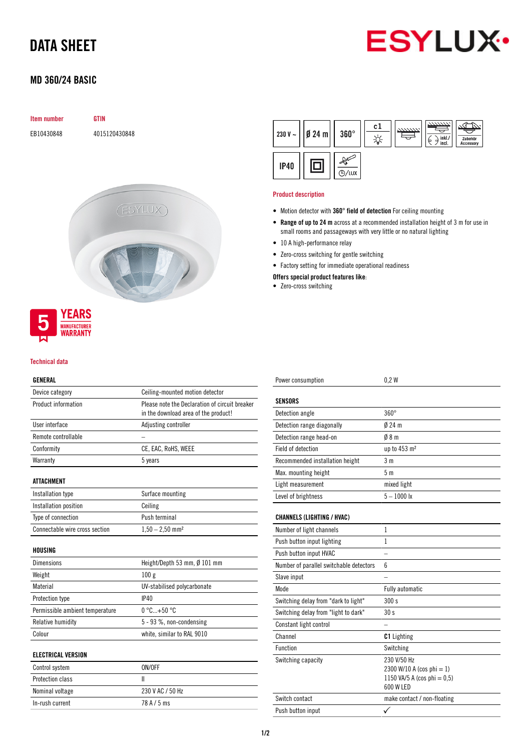# DATA SHEET



# MD 360/24 BASIC



#### Technical data

**MANUFACTURER**<br>**WARRANTY** 

## GENERAL

| ucneral                         |                                                                                        |
|---------------------------------|----------------------------------------------------------------------------------------|
| Device category                 | Ceiling-mounted motion detector                                                        |
| Product information             | Please note the Declaration of circuit breaker<br>in the download area of the product! |
| User interface                  | Adjusting controller                                                                   |
| Remote controllable             |                                                                                        |
| Conformity                      | CE, EAC, RoHS, WEEE                                                                    |
| Warranty                        | 5 years                                                                                |
| <b>ATTACHMENT</b>               |                                                                                        |
| Installation type               | Surface mounting                                                                       |
| Installation position           | Ceiling                                                                                |
| Type of connection              | Push terminal                                                                          |
| Connectable wire cross section  | $1,50 - 2,50$ mm <sup>2</sup>                                                          |
| <b>HOUSING</b>                  |                                                                                        |
| <b>Dimensions</b>               | Height/Depth 53 mm, Ø 101 mm                                                           |
| Weight                          | 100g                                                                                   |
| Material                        | UV-stabilised polycarbonate                                                            |
| Protection type                 | IP40                                                                                   |
| Permissible ambient temperature | $0 °C+50 °C$                                                                           |
| Relative humidity               | 5 - 93 %, non-condensing                                                               |
| Colour                          | white, similar to RAL 9010                                                             |
| <b>ELECTRICAL VERSION</b>       |                                                                                        |
| Control system                  | ON/OFF                                                                                 |
| Protection class                | Ш                                                                                      |
| Nominal voltage                 | 230 V AC / 50 Hz                                                                       |

In-rush current 78 A / 5 ms

|             | 230 V ~ $   \cancel{0}$ 24 m | $360^\circ$ | c1 | 7777777 | inkl./<br>⋴<br>ъ<br>incl. | Zubehör<br>Accessory |
|-------------|------------------------------|-------------|----|---------|---------------------------|----------------------|
| <b>IP40</b> |                              | ΄ LUX       |    |         |                           |                      |

#### Product description

- Motion detector with 360° field of detection For ceiling mounting
- Range of up to 24 m across at a recommended installation height of 3 m for use in small rooms and passageways with very little or no natural lighting
- 10 A high-performance relay
- Zero-cross switching for gentle switching
- Factory setting for immediate operational readiness

Power consumption 0,2 W

## Offers special product features like:

• Zero-cross switching

| <b>SENSORS</b>                          |                                                                                         |
|-----------------------------------------|-----------------------------------------------------------------------------------------|
| Detection angle                         | $360^\circ$                                                                             |
| Detection range diagonally              | $Ø$ 24 m                                                                                |
| Detection range head-on                 | 08 <sub>m</sub>                                                                         |
| Field of detection                      | up to 453 m <sup>2</sup>                                                                |
| Recommended installation height         | 3 <sub>m</sub>                                                                          |
| Max. mounting height                    | 5 <sub>m</sub>                                                                          |
| Light measurement                       | mixed light                                                                             |
| Level of brightness                     | $5 - 1000$ lx                                                                           |
| <b>CHANNELS (LIGHTING / HVAC)</b>       |                                                                                         |
| Number of light channels                | $\mathbf{1}$                                                                            |
| Push button input lighting              | 1                                                                                       |
| Push button input HVAC                  |                                                                                         |
| Number of parallel switchable detectors | 6                                                                                       |
| Slave input                             |                                                                                         |
| Mode                                    | <b>Fully automatic</b>                                                                  |
| Switching delay from "dark to light"    | 300 s                                                                                   |
| Switching delay from "light to dark"    | 30s                                                                                     |
| Constant light control                  |                                                                                         |
| Channel                                 | <b>C1</b> Lighting                                                                      |
| <b>Function</b>                         | Switching                                                                               |
| Switching capacity                      | 230 V/50 Hz<br>2300 W/10 A (cos phi = 1)<br>1150 VA/5 A (cos phi = $0,5$ )<br>600 W LED |
| Switch contact                          | make contact / non-floating                                                             |
| Push button input                       |                                                                                         |
|                                         |                                                                                         |